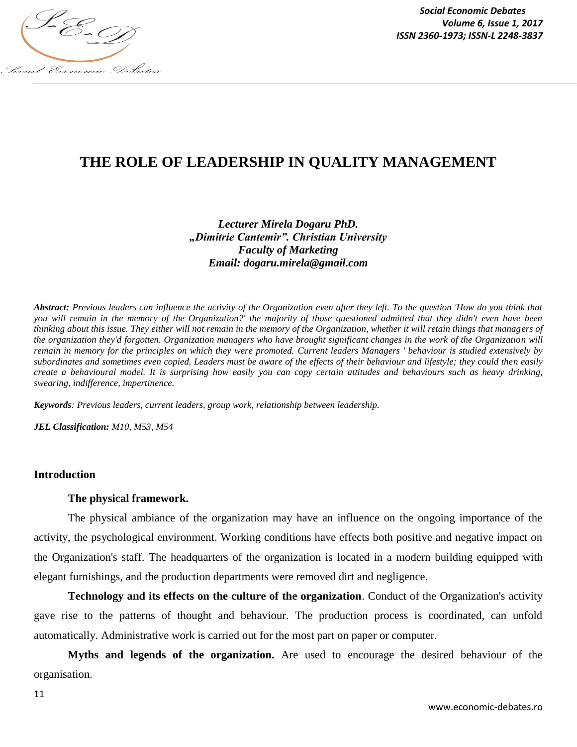

*Social Economic Debates Volume 6, Issue 1, 2017*

# **THE ROLE OF LEADERSHIP IN QUALITY MANAGEMENT**

*Lecturer Mirela Dogaru PhD. "Dimitrie Cantemir". Christian University Faculty of Marketing Email: dogaru.mirela@gmail.com*

*Abstract: Previous leaders can influence the activity of the Organization even after they left. To the question 'How do you think that you will remain in the memory of the Organization?' the majority of those questioned admitted that they didn't even have been thinking about this issue. They either will not remain in the memory of the Organization, whether it will retain things that managers of the organization they'd forgotten. Organization managers who have brought significant changes in the work of the Organization will remain in memory for the principles on which they were promoted. Current leaders Managers ' behaviour is studied extensively by subordinates and sometimes even copied. Leaders must be aware of the effects of their behaviour and lifestyle; they could then easily create a behavioural model. It is surprising how easily you can copy certain attitudes and behaviours such as heavy drinking, swearing, indifference, impertinence.*

*Keywords: Previous leaders, current leaders, group work, relationship between leadership.*

*JEL Classification: M10, M53, M54*

#### **Introduction**

#### **The physical framework.**

The physical ambiance of the organization may have an influence on the ongoing importance of the activity, the psychological environment. Working conditions have effects both positive and negative impact on the Organization's staff. The headquarters of the organization is located in a modern building equipped with elegant furnishings, and the production departments were removed dirt and negligence.

**Technology and its effects on the culture of the organization**. Conduct of the Organization's activity gave rise to the patterns of thought and behaviour. The production process is coordinated, can unfold automatically. Administrative work is carried out for the most part on paper or computer.

**Myths and legends of the organization.** Are used to encourage the desired behaviour of the organisation.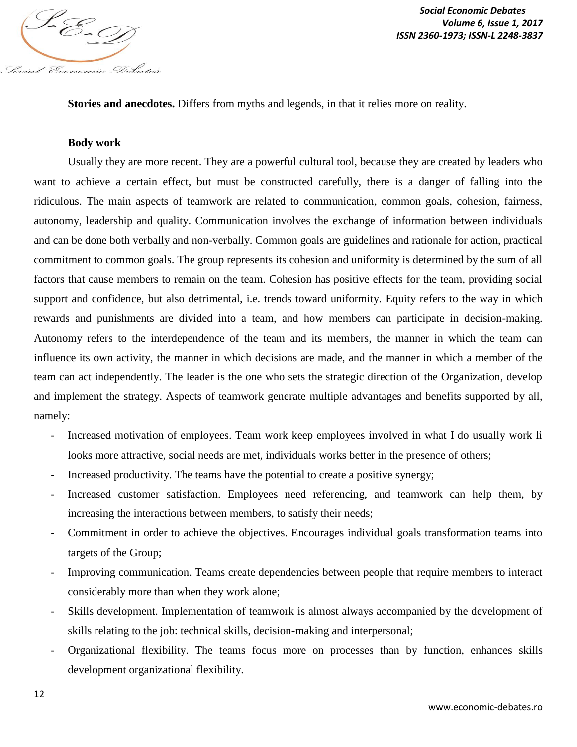

**Stories and anecdotes.** Differs from myths and legends, in that it relies more on reality.

#### **Body work**

Usually they are more recent. They are a powerful cultural tool, because they are created by leaders who want to achieve a certain effect, but must be constructed carefully, there is a danger of falling into the ridiculous. The main aspects of teamwork are related to communication, common goals, cohesion, fairness, autonomy, leadership and quality. Communication involves the exchange of information between individuals and can be done both verbally and non-verbally. Common goals are guidelines and rationale for action, practical commitment to common goals. The group represents its cohesion and uniformity is determined by the sum of all factors that cause members to remain on the team. Cohesion has positive effects for the team, providing social support and confidence, but also detrimental, i.e. trends toward uniformity. Equity refers to the way in which rewards and punishments are divided into a team, and how members can participate in decision-making. Autonomy refers to the interdependence of the team and its members, the manner in which the team can influence its own activity, the manner in which decisions are made, and the manner in which a member of the team can act independently. The leader is the one who sets the strategic direction of the Organization, develop and implement the strategy. Aspects of teamwork generate multiple advantages and benefits supported by all, namely:

- Increased motivation of employees. Team work keep employees involved in what I do usually work li looks more attractive, social needs are met, individuals works better in the presence of others;
- Increased productivity. The teams have the potential to create a positive synergy;
- Increased customer satisfaction. Employees need referencing, and teamwork can help them, by increasing the interactions between members, to satisfy their needs;
- Commitment in order to achieve the objectives. Encourages individual goals transformation teams into targets of the Group;
- Improving communication. Teams create dependencies between people that require members to interact considerably more than when they work alone;
- Skills development. Implementation of teamwork is almost always accompanied by the development of skills relating to the job: technical skills, decision-making and interpersonal;
- Organizational flexibility. The teams focus more on processes than by function, enhances skills development organizational flexibility.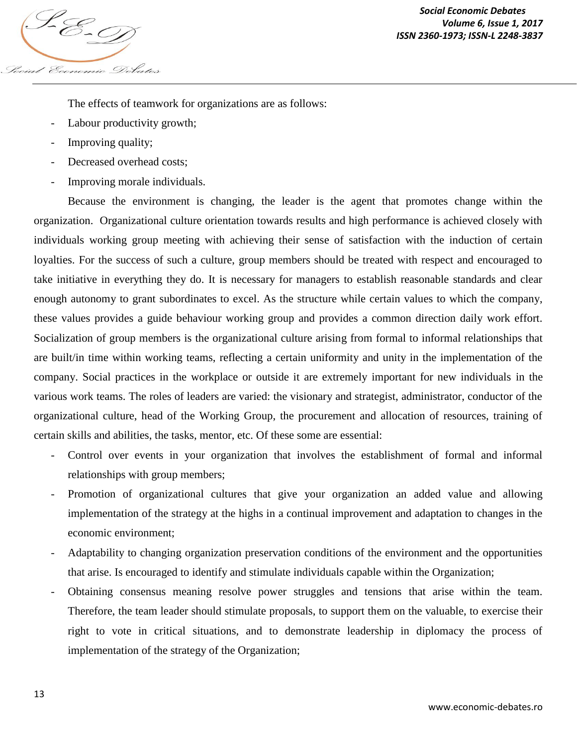

The effects of teamwork for organizations are as follows:

- Labour productivity growth;
- Improving quality;
- Decreased overhead costs:
- Improving morale individuals.

Because the environment is changing, the leader is the agent that promotes change within the organization. Organizational culture orientation towards results and high performance is achieved closely with individuals working group meeting with achieving their sense of satisfaction with the induction of certain loyalties. For the success of such a culture, group members should be treated with respect and encouraged to take initiative in everything they do. It is necessary for managers to establish reasonable standards and clear enough autonomy to grant subordinates to excel. As the structure while certain values to which the company, these values provides a guide behaviour working group and provides a common direction daily work effort. Socialization of group members is the organizational culture arising from formal to informal relationships that are built/in time within working teams, reflecting a certain uniformity and unity in the implementation of the company. Social practices in the workplace or outside it are extremely important for new individuals in the various work teams. The roles of leaders are varied: the visionary and strategist, administrator, conductor of the organizational culture, head of the Working Group, the procurement and allocation of resources, training of certain skills and abilities, the tasks, mentor, etc. Of these some are essential:

- Control over events in your organization that involves the establishment of formal and informal relationships with group members;
- Promotion of organizational cultures that give your organization an added value and allowing implementation of the strategy at the highs in a continual improvement and adaptation to changes in the economic environment;
- Adaptability to changing organization preservation conditions of the environment and the opportunities that arise. Is encouraged to identify and stimulate individuals capable within the Organization;
- Obtaining consensus meaning resolve power struggles and tensions that arise within the team. Therefore, the team leader should stimulate proposals, to support them on the valuable, to exercise their right to vote in critical situations, and to demonstrate leadership in diplomacy the process of implementation of the strategy of the Organization;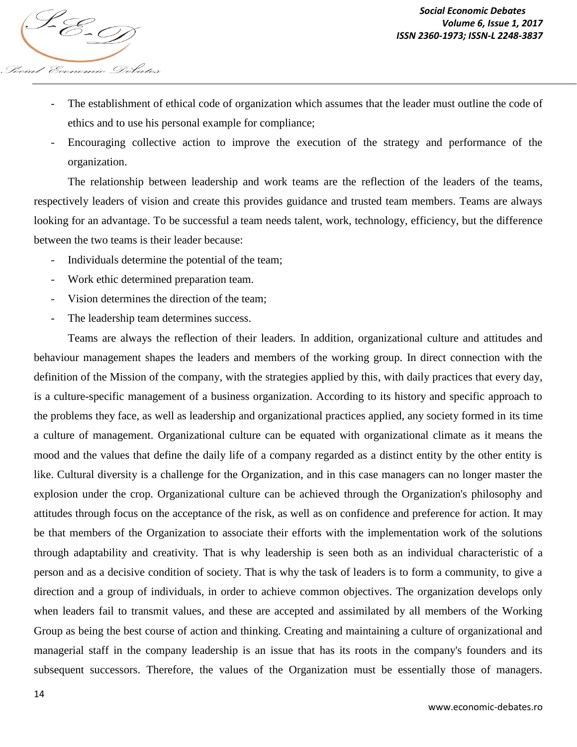

- The establishment of ethical code of organization which assumes that the leader must outline the code of ethics and to use his personal example for compliance;
- Encouraging collective action to improve the execution of the strategy and performance of the organization.

The relationship between leadership and work teams are the reflection of the leaders of the teams, respectively leaders of vision and create this provides guidance and trusted team members. Teams are always looking for an advantage. To be successful a team needs talent, work, technology, efficiency, but the difference between the two teams is their leader because:

- Individuals determine the potential of the team;
- Work ethic determined preparation team.
- Vision determines the direction of the team;
- The leadership team determines success.

Teams are always the reflection of their leaders. In addition, organizational culture and attitudes and behaviour management shapes the leaders and members of the working group. In direct connection with the definition of the Mission of the company, with the strategies applied by this, with daily practices that every day, is a culture-specific management of a business organization. According to its history and specific approach to the problems they face, as well as leadership and organizational practices applied, any society formed in its time a culture of management. Organizational culture can be equated with organizational climate as it means the mood and the values that define the daily life of a company regarded as a distinct entity by the other entity is like. Cultural diversity is a challenge for the Organization, and in this case managers can no longer master the explosion under the crop. Organizational culture can be achieved through the Organization's philosophy and attitudes through focus on the acceptance of the risk, as well as on confidence and preference for action. It may be that members of the Organization to associate their efforts with the implementation work of the solutions through adaptability and creativity. That is why leadership is seen both as an individual characteristic of a person and as a decisive condition of society. That is why the task of leaders is to form a community, to give a direction and a group of individuals, in order to achieve common objectives. The organization develops only when leaders fail to transmit values, and these are accepted and assimilated by all members of the Working Group as being the best course of action and thinking. Creating and maintaining a culture of organizational and managerial staff in the company leadership is an issue that has its roots in the company's founders and its subsequent successors. Therefore, the values of the Organization must be essentially those of managers.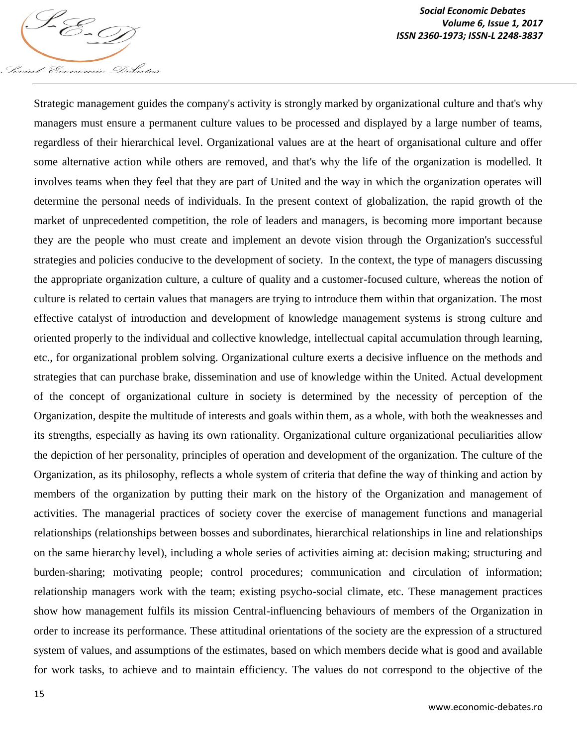

*Social Economic Debates Volume 6, Issue 1, 2017 Volume 6, Issue 1, 2011*<br>ISSN 2360-1973; ISSN-L 2248-3837<br>ISSN 2360-1973; ISSN-L 2248-3837

Strategic management guides the company's activity is strongly marked by organizational culture and that's why managers must ensure a permanent culture values to be processed and displayed by a large number of teams, regardless of their hierarchical level. Organizational values are at the heart of organisational culture and offer some alternative action while others are removed, and that's why the life of the organization is modelled. It involves teams when they feel that they are part of United and the way in which the organization operates will determine the personal needs of individuals. In the present context of globalization, the rapid growth of the market of unprecedented competition, the role of leaders and managers, is becoming more important because they are the people who must create and implement an devote vision through the Organization's successful strategies and policies conducive to the development of society. In the context, the type of managers discussing the appropriate organization culture, a culture of quality and a customer-focused culture, whereas the notion of culture is related to certain values that managers are trying to introduce them within that organization. The most effective catalyst of introduction and development of knowledge management systems is strong culture and oriented properly to the individual and collective knowledge, intellectual capital accumulation through learning, etc., for organizational problem solving. Organizational culture exerts a decisive influence on the methods and strategies that can purchase brake, dissemination and use of knowledge within the United. Actual development of the concept of organizational culture in society is determined by the necessity of perception of the Organization, despite the multitude of interests and goals within them, as a whole, with both the weaknesses and its strengths, especially as having its own rationality. Organizational culture organizational peculiarities allow the depiction of her personality, principles of operation and development of the organization. The culture of the Organization, as its philosophy, reflects a whole system of criteria that define the way of thinking and action by members of the organization by putting their mark on the history of the Organization and management of activities. The managerial practices of society cover the exercise of management functions and managerial relationships (relationships between bosses and subordinates, hierarchical relationships in line and relationships on the same hierarchy level), including a whole series of activities aiming at: decision making; structuring and burden-sharing; motivating people; control procedures; communication and circulation of information; relationship managers work with the team; existing psycho-social climate, etc. These management practices show how management fulfils its mission Central-influencing behaviours of members of the Organization in order to increase its performance. These attitudinal orientations of the society are the expression of a structured system of values, and assumptions of the estimates, based on which members decide what is good and available for work tasks, to achieve and to maintain efficiency. The values do not correspond to the objective of the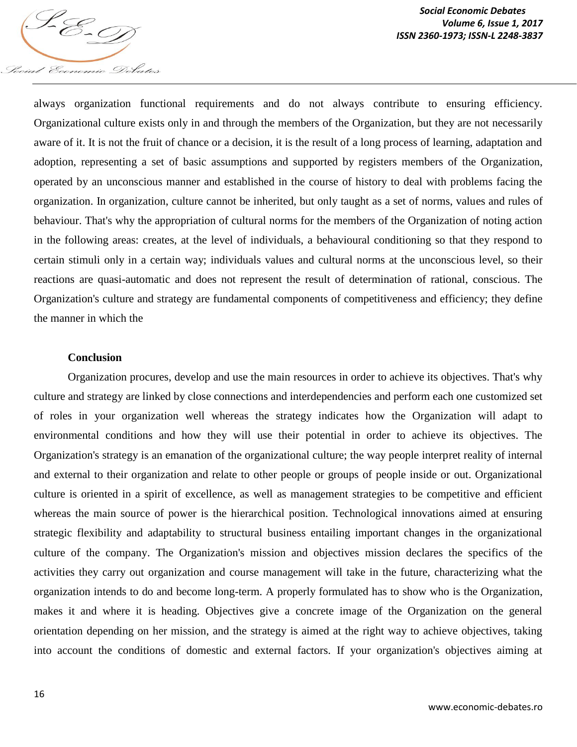

*Social Economic Debates Volume 6, Issue 1, 2017 Volume 6, ISSN 2360-1973; ISSN-L 2248-3837*<br>ISSN 2360-1973; ISSN-L 2248-3837

always organization functional requirements and do not always contribute to ensuring efficiency. Organizational culture exists only in and through the members of the Organization, but they are not necessarily aware of it. It is not the fruit of chance or a decision, it is the result of a long process of learning, adaptation and adoption, representing a set of basic assumptions and supported by registers members of the Organization, operated by an unconscious manner and established in the course of history to deal with problems facing the organization. In organization, culture cannot be inherited, but only taught as a set of norms, values and rules of behaviour. That's why the appropriation of cultural norms for the members of the Organization of noting action in the following areas: creates, at the level of individuals, a behavioural conditioning so that they respond to certain stimuli only in a certain way; individuals values and cultural norms at the unconscious level, so their reactions are quasi-automatic and does not represent the result of determination of rational, conscious. The Organization's culture and strategy are fundamental components of competitiveness and efficiency; they define the manner in which the

### **Conclusion**

Organization procures, develop and use the main resources in order to achieve its objectives. That's why culture and strategy are linked by close connections and interdependencies and perform each one customized set of roles in your organization well whereas the strategy indicates how the Organization will adapt to environmental conditions and how they will use their potential in order to achieve its objectives. The Organization's strategy is an emanation of the organizational culture; the way people interpret reality of internal and external to their organization and relate to other people or groups of people inside or out. Organizational culture is oriented in a spirit of excellence, as well as management strategies to be competitive and efficient whereas the main source of power is the hierarchical position. Technological innovations aimed at ensuring strategic flexibility and adaptability to structural business entailing important changes in the organizational culture of the company. The Organization's mission and objectives mission declares the specifics of the activities they carry out organization and course management will take in the future, characterizing what the organization intends to do and become long-term. A properly formulated has to show who is the Organization, makes it and where it is heading. Objectives give a concrete image of the Organization on the general orientation depending on her mission, and the strategy is aimed at the right way to achieve objectives, taking into account the conditions of domestic and external factors. If your organization's objectives aiming at